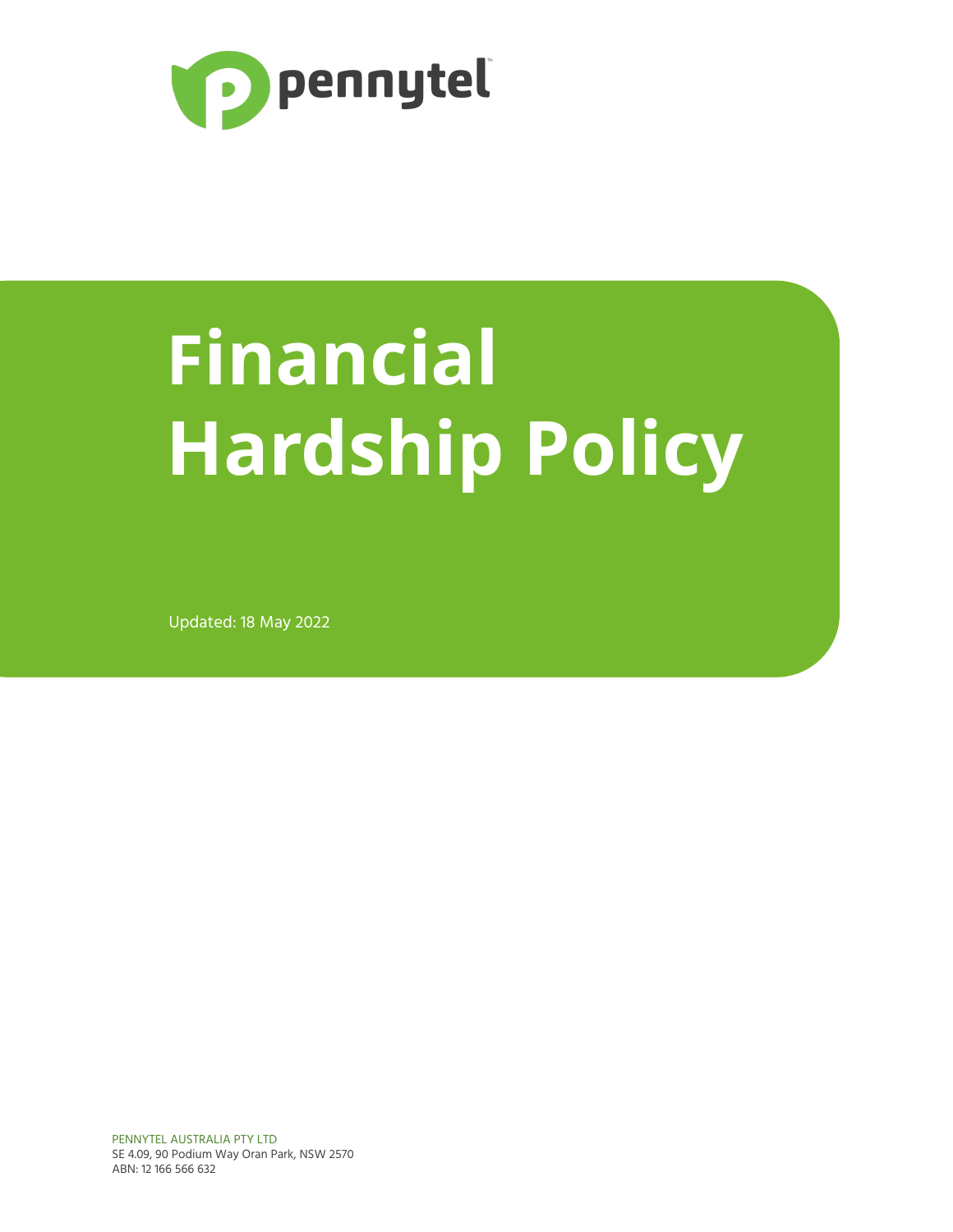

# **Financial Hardship Policy**

Updated: 18 May 2022

PENNYTEL AUSTRALIA PTY LTD SE 4.09, 90 Podium Way Oran Park, NSW 2570 ABN: 12 166 566 632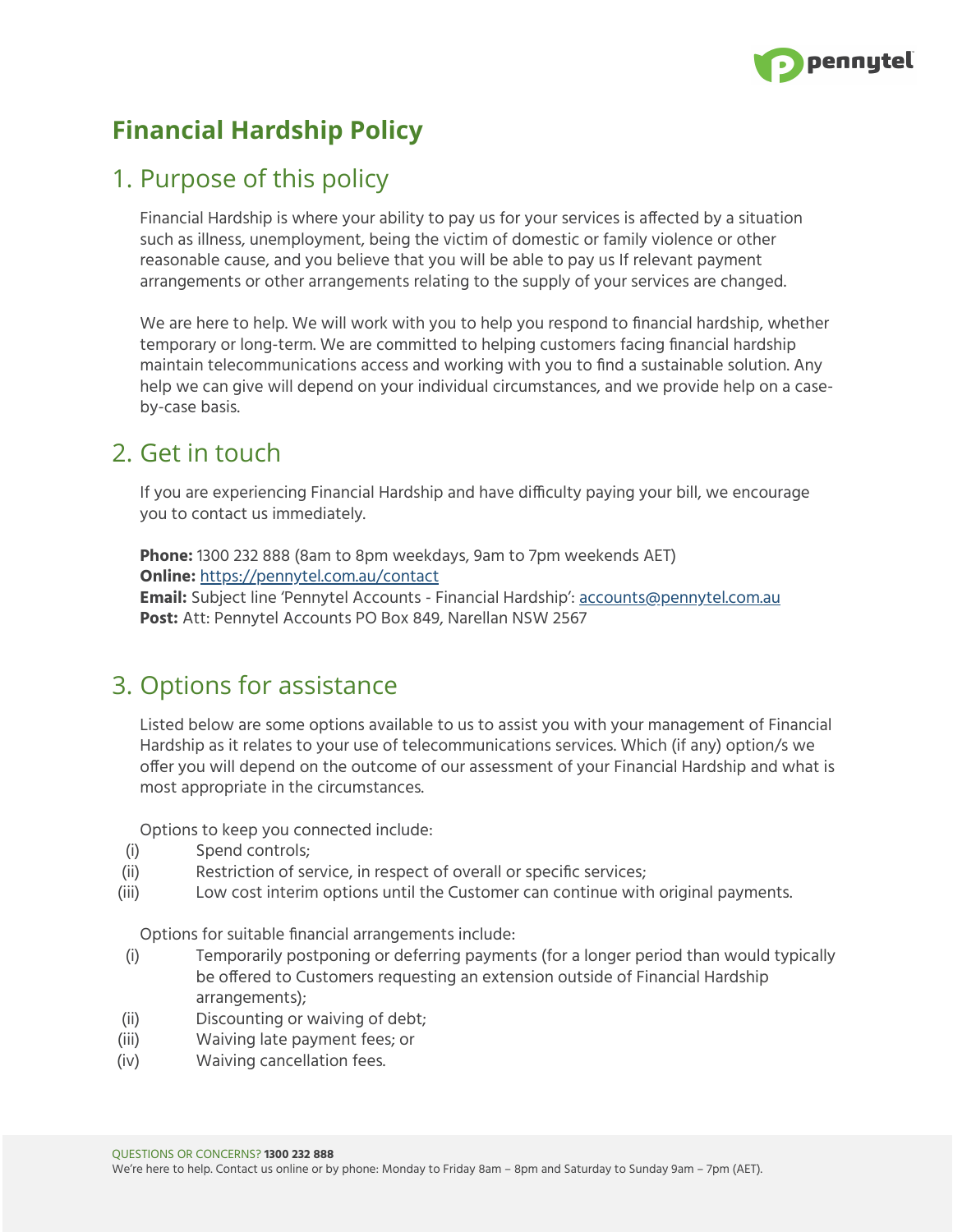

## **Financial Hardship Policy**

### 1. Purpose of this policy

Financial Hardship is where your ability to pay us for your services is affected by a situation such as illness, unemployment, being the victim of domestic or family violence or other reasonable cause, and you believe that you will be able to pay us If relevant payment arrangements or other arrangements relating to the supply of your services are changed.

We are here to help. We will work with you to help you respond to financial hardship, whether temporary or long-term. We are committed to helping customers facing financial hardship maintain telecommunications access and working with you to find a sustainable solution. Any help we can give will depend on your individual circumstances, and we provide help on a caseby-case basis.

#### 2. Get in touch

If you are experiencing Financial Hardship and have difficulty paying your bill, we encourage you to contact us immediately.

**Phone:** 1300 232 888 (8am to 8pm weekdays, 9am to 7pm weekends AET) **Online:** <https://pennytel.com.au/contact> **Email:** Subject line 'Pennytel Accounts - Financial Hardship': [accounts@pennytel.com.au](mailto:accounts@pennytel.com.au) **Post:** Att: Pennytel Accounts PO Box 849, Narellan NSW 2567

#### 3. Options for assistance

Listed below are some options available to us to assist you with your management of Financial Hardship as it relates to your use of telecommunications services. Which (if any) option/s we offer you will depend on the outcome of our assessment of your Financial Hardship and what is most appropriate in the circumstances.

Options to keep you connected include:

- (i) Spend controls;
- (ii) Restriction of service, in respect of overall or specific services;
- (iii) Low cost interim options until the Customer can continue with original payments.

Options for suitable financial arrangements include:

- (i) Temporarily postponing or deferring payments (for a longer period than would typically be offered to Customers requesting an extension outside of Financial Hardship arrangements);
- (ii) Discounting or waiving of debt;
- (iii) Waiving late payment fees; or
- (iv) Waiving cancellation fees.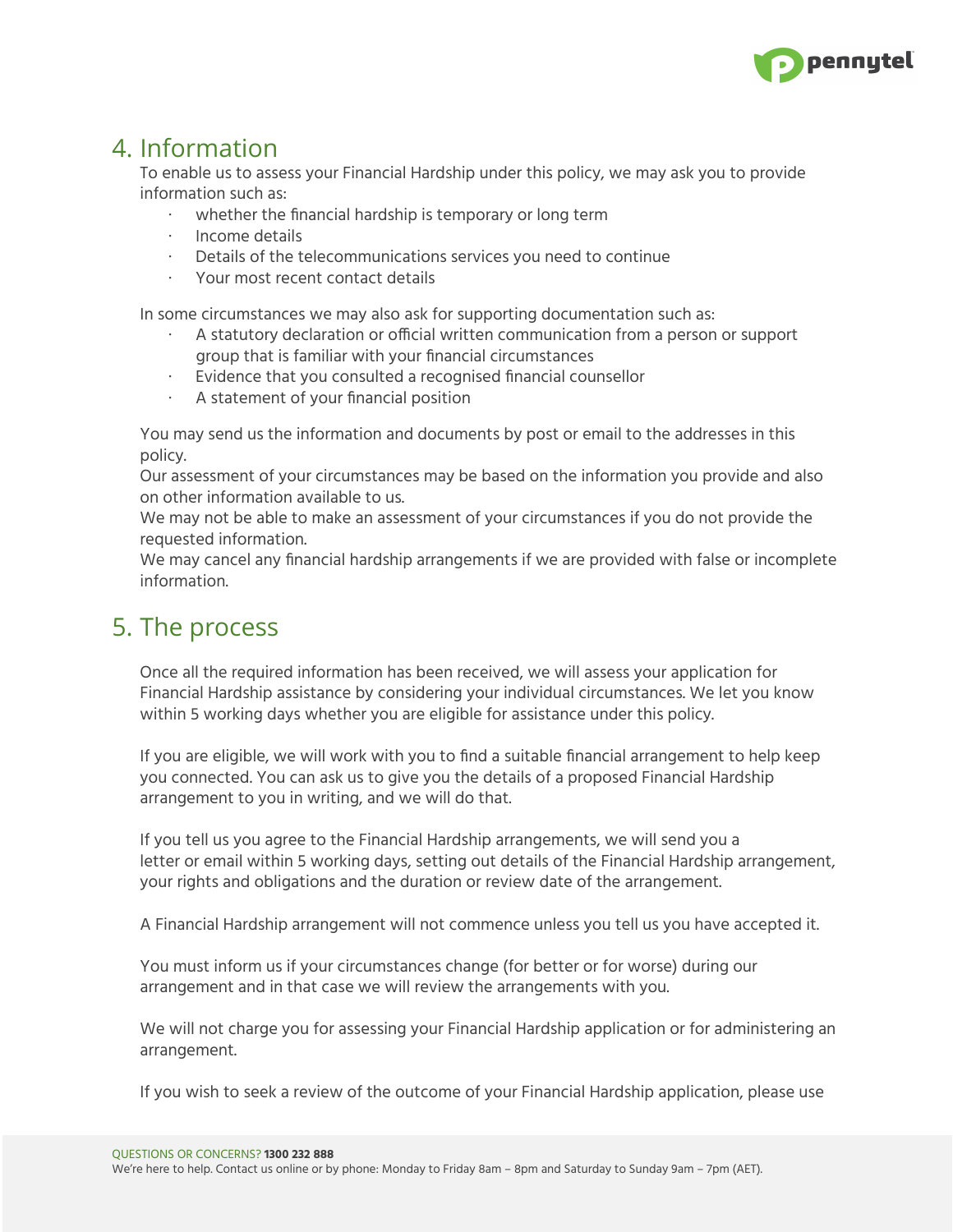

#### 4. Information

To enable us to assess your Financial Hardship under this policy, we may ask you to provide information such as:

- ∙ whether the financial hardship is temporary or long term
- ∙ Income details
- ∙ Details of the telecommunications services you need to continue
- ∙ Your most recent contact details

In some circumstances we may also ask for supporting documentation such as:

- ∙ A statutory declaration or official written communication from a person or support group that is familiar with your financial circumstances
- ∙ Evidence that you consulted a recognised financial counsellor
- ∙ A statement of your financial position

You may send us the information and documents by post or email to the addresses in this policy.

Our assessment of your circumstances may be based on the information you provide and also on other information available to us.

We may not be able to make an assessment of your circumstances if you do not provide the requested information.

We may cancel any financial hardship arrangements if we are provided with false or incomplete information.

#### 5. The process

Once all the required information has been received, we will assess your application for Financial Hardship assistance by considering your individual circumstances. We let you know within 5 working days whether you are eligible for assistance under this policy.

If you are eligible, we will work with you to find a suitable financial arrangement to help keep you connected. You can ask us to give you the details of a proposed Financial Hardship arrangement to you in writing, and we will do that.

If you tell us you agree to the Financial Hardship arrangements, we will send you a letter or email within 5 working days, setting out details of the Financial Hardship arrangement, your rights and obligations and the duration or review date of the arrangement.

A Financial Hardship arrangement will not commence unless you tell us you have accepted it.

You must inform us if your circumstances change (for better or for worse) during our arrangement and in that case we will review the arrangements with you.

We will not charge you for assessing your Financial Hardship application or for administering an arrangement.

If you wish to seek a review of the outcome of your Financial Hardship application, please use